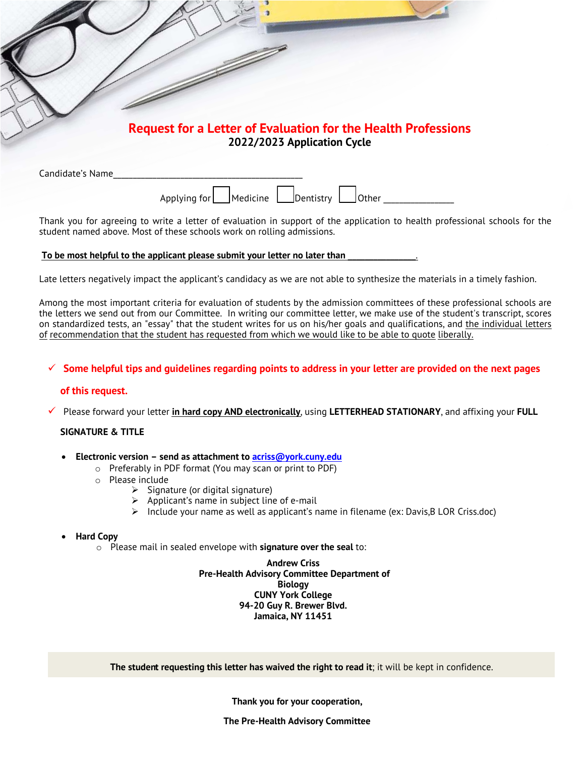|                  | <b>Request for a Letter of Evaluation for the Health Professions</b> |
|------------------|----------------------------------------------------------------------|
|                  | 2022/2023 Application Cycle                                          |
|                  |                                                                      |
| Candidate's Name |                                                                      |

Thank you for agreeing to write a letter of evaluation in support of the application to health professional schools for the student named above. Most of these schools work on rolling admissions.

#### To be most helpful to the applicant please submit your letter no later than

Late letters negatively impact the applicant's candidacy as we are not able to synthesize the materials in a timely fashion.

Among the most important criteria for evaluation of students by the admission committees of these professional schools are the letters we send out from our Committee. In writing our committee letter, we make use of the student's transcript, scores on standardized tests, an "essay" that the student writes for us on his/her goals and qualifications, and the individual letters of recommendation that the student has requested from which we would like to be able to quote liberally.

### $\checkmark$  Some helpful tips and guidelines regarding points to address in your letter are provided on the next pages

#### **of this request.**

ü Please forward your letter **in hard copy AND electronically**, using **LETTERHEAD STATIONARY**, and affixing your **FULL**

#### **SIGNATURE & TITLE**

- **Electronic version send as attachment to acriss@york.cuny.edu**
	- o Preferably in PDF format (You may scan or print to PDF)
	- o Please include
		- $\triangleright$  Signature (or digital signature)
		- $\triangleright$  Applicant's name in subject line of e-mail
		- $\triangleright$  Include your name as well as applicant's name in filename (ex: Davis, B LOR Criss.doc)

#### • **Hard Copy**

o Please mail in sealed envelope with **signature over the seal** to:

**Andrew Criss Pre-Health Advisory Committee Department of Biology CUNY York College 94-20 Guy R. Brewer Blvd. Jamaica, NY 11451**

**The student requesting this letter has waived the right to read it**; it will be kept in confidence.

**Thank you for your cooperation,** 

**The Pre-Health Advisory Committee**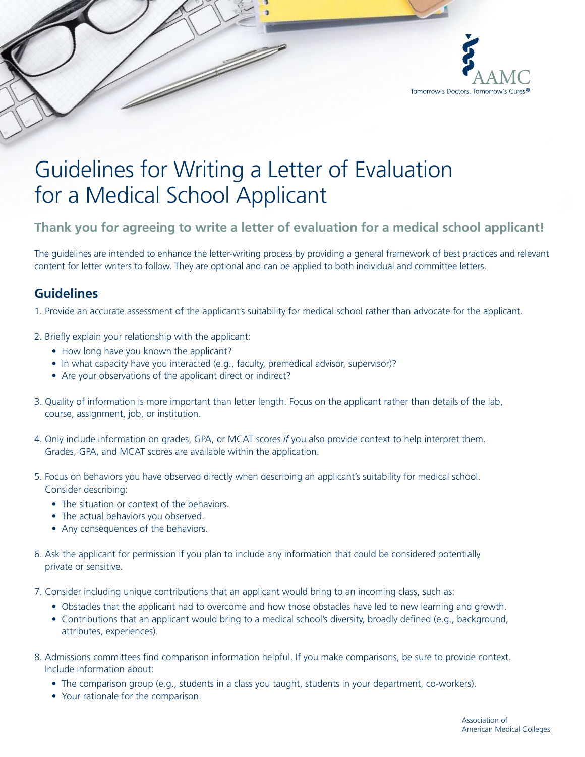

# Guidelines for Writing a Letter of Evaluation for a Medical School Applicant

e di descriptores de la concercació de la concercació de la concercació de la concercació de la concercació de<br>La concercació de la concercació de la concercació de la concercació de la concercació de la concercació de la

# **Thank you for agreeing to write a letter of evaluation for a medical school applicant!**

The guidelines are intended to enhance the letter-writing process by providing a general framework of best practices and relevant content for letter writers to follow. They are optional and can be applied to both individual and committee letters.

## **Guidelines**

1. Provide an accurate assessment of the applicant's suitability for medical school rather than advocate for the applicant.

- 2. Briefly explain your relationship with the applicant:
	- How long have you known the applicant?
	- In what capacity have you interacted (e.g., faculty, premedical advisor, supervisor)?
	- Are your observations of the applicant direct or indirect?
- 3. Quality of information is more important than letter length. Focus on the applicant rather than details of the lab, course, assignment, job, or institution.
- 4. Only include information on grades, GPA, or MCAT scores *if* you also provide context to help interpret them. Grades, GPA, and MCAT scores are available within the application.
- 5. Focus on behaviors you have observed directly when describing an applicant's suitability for medical school. Consider describing:
	- The situation or context of the behaviors.
	- The actual behaviors you observed.
	- Any consequences of the behaviors.
- 6. Ask the applicant for permission if you plan to include any information that could be considered potentially private or sensitive.
- 7. Consider including unique contributions that an applicant would bring to an incoming class, such as:
	- Obstacles that the applicant had to overcome and how those obstacles have led to new learning and growth.
	- Contributions that an applicant would bring to a medical school's diversity, broadly defined (e.g., background, attributes, experiences).
- 8. Admissions committees find comparison information helpful. If you make comparisons, be sure to provide context. Include information about:
	- The comparison group (e.g., students in a class you taught, students in your department, co-workers).
	- Your rationale for the comparison.